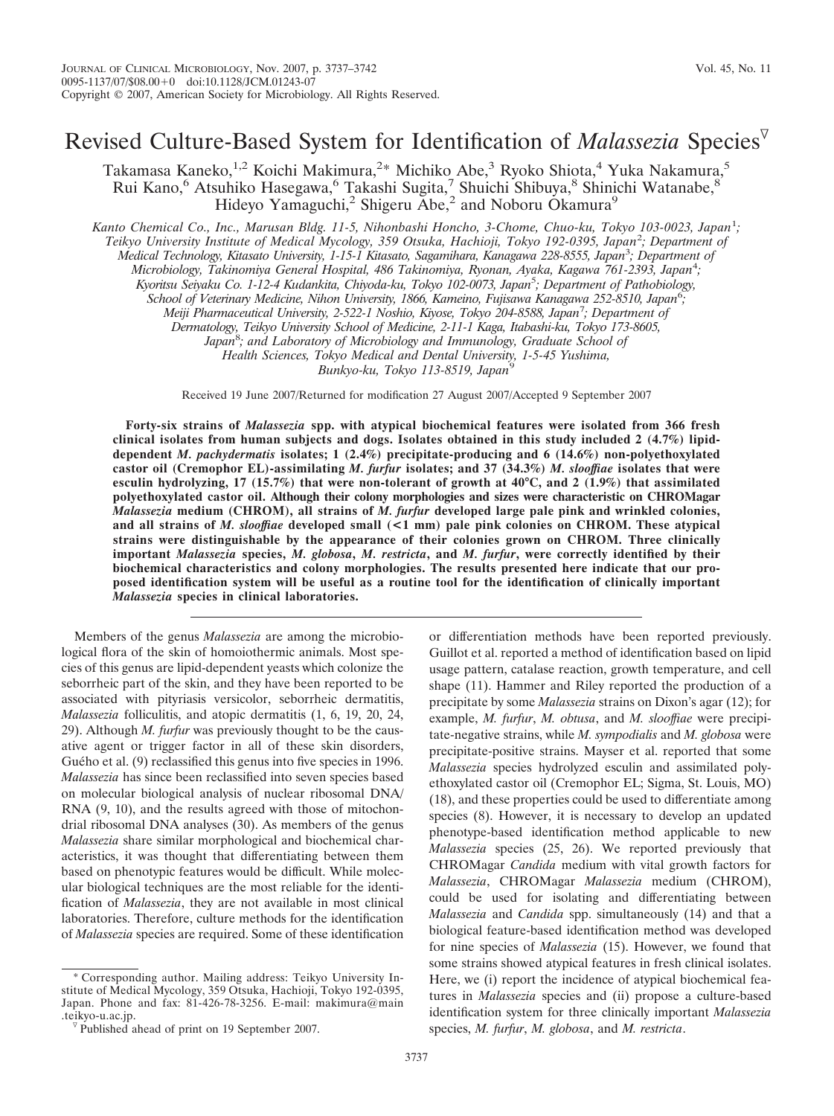# Revised Culture-Based System for Identification of *Malassezia* Species

Takamasa Kaneko,<sup>1,2</sup> Koichi Makimura,<sup>2\*</sup> Michiko Abe,<sup>3</sup> Ryoko Shiota,<sup>4</sup> Yuka Nakamura,<sup>5</sup> Rui Kano,<sup>6</sup> Atsuhiko Hasegawa,<sup>6</sup> Takashi Sugita,<sup>7</sup> Shuichi Shibuya,<sup>8</sup> Shinichi Watanabe,<sup>8</sup> Hideyo Yamaguchi,<sup>2</sup> Shigeru Abe,<sup>2</sup> and Noboru Okamura<sup>9</sup>

Kanto Chemical Co., Inc., Marusan Bldg. 11-5, Nihonbashi Honcho, 3-Chome, Chuo-ku, Tokyo 103-0023, Japan<sup>1</sup>;

*Teikyo University Institute of Medical Mycology, 359 Otsuka, Hachioji, Tokyo 192-0395, Japan*<sup>2</sup> *; Department of*

*Medical Technology, Kitasato University, 1-15-1 Kitasato, Sagamihara, Kanagawa 228-8555, Japan*<sup>3</sup> *; Department of*

*Microbiology, Takinomiya General Hospital, 486 Takinomiya, Ryonan, Ayaka, Kagawa 761-2393, Japan*<sup>4</sup> *;*

*Kyoritsu Seiyaku Co. 1-12-4 Kudankita, Chiyoda-ku, Tokyo 102-0073, Japan*<sup>5</sup> *; Department of Pathobiology,*

*School of Veterinary Medicine, Nihon University, 1866, Kameino, Fujisawa Kanagawa 252-8510, Japan*<sup>6</sup> *;*

*Meiji Pharmaceutical University, 2-522-1 Noshio, Kiyose, Tokyo 204-8588, Japan*<sup>7</sup> *; Department of*

*Dermatology, Teikyo University School of Medicine, 2-11-1 Kaga, Itabashi-ku, Tokyo 173-8605,*

*Japan*<sup>8</sup> *; and Laboratory of Microbiology and Immunology, Graduate School of*

*Health Sciences, Tokyo Medical and Dental University, 1-5-45 Yushima,*

*Bunkyo-ku, Tokyo 113-8519, Japan*<sup>9</sup>

Received 19 June 2007/Returned for modification 27 August 2007/Accepted 9 September 2007

**Forty-six strains of** *Malassezia* **spp. with atypical biochemical features were isolated from 366 fresh clinical isolates from human subjects and dogs. Isolates obtained in this study included 2 (4.7%) lipiddependent** *M. pachydermatis* **isolates; 1 (2.4%) precipitate-producing and 6 (14.6%) non-polyethoxylated castor oil (Cremophor EL)-assimilating** *M. furfur* **isolates; and 37 (34.3%)** *M. slooffiae* **isolates that were esculin hydrolyzing, 17 (15.7%) that were non-tolerant of growth at 40°C, and 2 (1.9%) that assimilated polyethoxylated castor oil. Although their colony morphologies and sizes were characteristic on CHROMagar** *Malassezia* **medium (CHROM), all strains of** *M. furfur* **developed large pale pink and wrinkled colonies, and all strains of** *M. slooffiae* **developed small (<1 mm) pale pink colonies on CHROM. These atypical strains were distinguishable by the appearance of their colonies grown on CHROM. Three clinically important** *Malassezia* **species,** *M. globosa***,** *M. restricta***, and** *M. furfur***, were correctly identified by their biochemical characteristics and colony morphologies. The results presented here indicate that our proposed identification system will be useful as a routine tool for the identification of clinically important** *Malassezia* **species in clinical laboratories.**

Members of the genus *Malassezia* are among the microbiological flora of the skin of homoiothermic animals. Most species of this genus are lipid-dependent yeasts which colonize the seborrheic part of the skin, and they have been reported to be associated with pityriasis versicolor, seborrheic dermatitis, *Malassezia* folliculitis, and atopic dermatitis (1, 6, 19, 20, 24, 29). Although *M. furfur* was previously thought to be the causative agent or trigger factor in all of these skin disorders, Guého et al. (9) reclassified this genus into five species in 1996. *Malassezia* has since been reclassified into seven species based on molecular biological analysis of nuclear ribosomal DNA/ RNA  $(9, 10)$ , and the results agreed with those of mitochondrial ribosomal DNA analyses (30). As members of the genus *Malassezia* share similar morphological and biochemical characteristics, it was thought that differentiating between them based on phenotypic features would be difficult. While molecular biological techniques are the most reliable for the identification of *Malassezia*, they are not available in most clinical laboratories. Therefore, culture methods for the identification of *Malassezia* species are required. Some of these identification

\* Corresponding author. Mailing address: Teikyo University Institute of Medical Mycology, 359 Otsuka, Hachioji, Tokyo 192-0395, Japan. Phone and fax: 81-426-78-3256. E-mail: makimura@main.teikyo-u.ac.jp.

or differentiation methods have been reported previously. Guillot et al. reported a method of identification based on lipid usage pattern, catalase reaction, growth temperature, and cell shape (11). Hammer and Riley reported the production of a precipitate by some *Malassezia* strains on Dixon's agar (12); for example, *M. furfur*, *M. obtusa*, and *M. slooffiae* were precipitate-negative strains, while *M. sympodialis* and *M. globosa* were precipitate-positive strains. Mayser et al. reported that some *Malassezia* species hydrolyzed esculin and assimilated polyethoxylated castor oil (Cremophor EL; Sigma, St. Louis, MO) (18), and these properties could be used to differentiate among species (8). However, it is necessary to develop an updated phenotype-based identification method applicable to new *Malassezia* species (25, 26). We reported previously that CHROMagar *Candida* medium with vital growth factors for *Malassezia*, CHROMagar *Malassezia* medium (CHROM), could be used for isolating and differentiating between *Malassezia* and *Candida* spp. simultaneously (14) and that a biological feature-based identification method was developed for nine species of *Malassezia* (15). However, we found that some strains showed atypical features in fresh clinical isolates. Here, we (i) report the incidence of atypical biochemical features in *Malassezia* species and (ii) propose a culture-based identification system for three clinically important *Malassezia* species, *M. furfur*, *M. globosa*, and *M. restricta*.

 $\nabla$  Published ahead of print on 19 September 2007.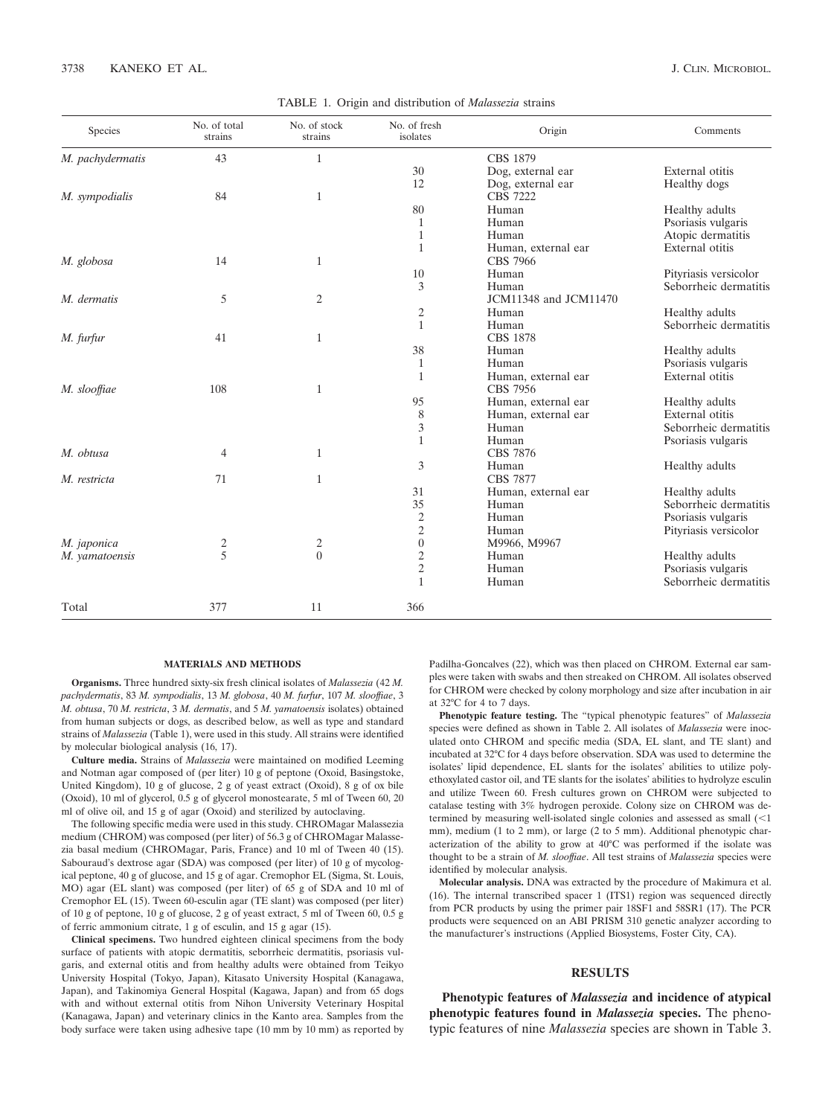|  |  |  | TABLE 1. Origin and distribution of Malassezia strains |  |
|--|--|--|--------------------------------------------------------|--|
|--|--|--|--------------------------------------------------------|--|

| Species          | No. of total<br>strains | No. of stock<br>strains |                  | Origin                | Comments              |  |
|------------------|-------------------------|-------------------------|------------------|-----------------------|-----------------------|--|
| M. pachydermatis | 43                      | 1                       |                  | CBS 1879              |                       |  |
|                  |                         |                         | 30               | Dog, external ear     | External otitis       |  |
|                  |                         |                         | 12               | Dog, external ear     | Healthy dogs          |  |
| M. sympodialis   | 84                      | $\mathbf{1}$            |                  | <b>CBS 7222</b>       |                       |  |
|                  |                         |                         | 80               | Human                 | Healthy adults        |  |
|                  |                         |                         | 1                | Human                 | Psoriasis vulgaris    |  |
|                  |                         |                         | 1                | Human                 | Atopic dermatitis     |  |
|                  |                         |                         | 1                | Human, external ear   | External otitis       |  |
| M. globosa       | 14                      | $\mathbf{1}$            |                  | <b>CBS 7966</b>       |                       |  |
|                  |                         |                         | 10               | Human                 | Pityriasis versicolor |  |
|                  |                         |                         | 3                | Human                 | Seborrheic dermatitis |  |
| M. dermatis      | 5                       | $\mathfrak{2}$          |                  | JCM11348 and JCM11470 |                       |  |
|                  |                         |                         | 2                | Human                 | Healthy adults        |  |
|                  |                         |                         | $\mathbf{1}$     | Human                 | Seborrheic dermatitis |  |
| M. furfur        | 41                      | $\mathbf{1}$            |                  | <b>CBS 1878</b>       |                       |  |
|                  |                         |                         | 38               | Human                 | Healthy adults        |  |
|                  |                         |                         | $\mathbf{1}$     | Human                 | Psoriasis vulgaris    |  |
|                  |                         |                         | 1                | Human, external ear   | External otitis       |  |
| M. slooffiae     | 108                     | 1                       |                  | <b>CBS 7956</b>       |                       |  |
|                  |                         |                         | 95               | Human, external ear   | Healthy adults        |  |
|                  |                         |                         | 8                | Human, external ear   | External otitis       |  |
|                  |                         |                         | 3                | Human                 | Seborrheic dermatitis |  |
|                  |                         |                         | $\mathbf{1}$     | Human                 | Psoriasis vulgaris    |  |
| M. obtusa        | $\overline{4}$          | $\mathbf{1}$            |                  | CBS 7876              |                       |  |
|                  |                         |                         | 3                | Human                 | Healthy adults        |  |
| M. restricta     | 71                      | 1                       |                  | <b>CBS 7877</b>       |                       |  |
|                  |                         |                         | 31               | Human, external ear   | Healthy adults        |  |
|                  |                         |                         | 35               | Human                 | Seborrheic dermatitis |  |
|                  |                         |                         | $\overline{c}$   | Human                 | Psoriasis vulgaris    |  |
|                  |                         |                         | $\sqrt{2}$       | Human                 | Pityriasis versicolor |  |
| M. japonica      | 2                       | 2                       | $\boldsymbol{0}$ | M9966, M9967          |                       |  |
| M. yamatoensis   | 5                       | $\overline{0}$          | 2                | Human                 | Healthy adults        |  |
|                  |                         |                         | $\sqrt{2}$       | Human                 | Psoriasis vulgaris    |  |
|                  |                         |                         | $\mathbf{1}$     | Human                 | Seborrheic dermatitis |  |
| Total            | 377                     | 11                      | 366              |                       |                       |  |

### **MATERIALS AND METHODS**

**Organisms.** Three hundred sixty-six fresh clinical isolates of *Malassezia* (42 *M. pachydermatis*, 83 *M. sympodialis*, 13 *M. globosa*, 40 *M. furfur*, 107 *M. slooffiae*, 3 *M. obtusa*, 70 *M. restricta*, 3 *M. dermatis*, and 5 *M. yamatoensis* isolates) obtained from human subjects or dogs, as described below, as well as type and standard strains of *Malassezia* (Table 1), were used in this study. All strains were identified by molecular biological analysis (16, 17).

**Culture media.** Strains of *Malassezia* were maintained on modified Leeming and Notman agar composed of (per liter) 10 g of peptone (Oxoid, Basingstoke, United Kingdom), 10 g of glucose, 2 g of yeast extract (Oxoid), 8 g of ox bile (Oxoid), 10 ml of glycerol, 0.5 g of glycerol monostearate, 5 ml of Tween 60, 20 ml of olive oil, and 15 g of agar (Oxoid) and sterilized by autoclaving.

The following specific media were used in this study. CHROMagar Malassezia medium (CHROM) was composed (per liter) of 56.3 g of CHROMagar Malassezia basal medium (CHROMagar, Paris, France) and 10 ml of Tween 40 (15). Sabouraud's dextrose agar (SDA) was composed (per liter) of 10 g of mycological peptone, 40 g of glucose, and 15 g of agar. Cremophor EL (Sigma, St. Louis, MO) agar (EL slant) was composed (per liter) of 65 g of SDA and 10 ml of Cremophor EL (15). Tween 60-esculin agar (TE slant) was composed (per liter) of 10 g of peptone, 10 g of glucose, 2 g of yeast extract, 5 ml of Tween 60, 0.5 g of ferric ammonium citrate, 1 g of esculin, and 15 g agar (15).

**Clinical specimens.** Two hundred eighteen clinical specimens from the body surface of patients with atopic dermatitis, seborrheic dermatitis, psoriasis vulgaris, and external otitis and from healthy adults were obtained from Teikyo University Hospital (Tokyo, Japan), Kitasato University Hospital (Kanagawa, Japan), and Takinomiya General Hospital (Kagawa, Japan) and from 65 dogs with and without external otitis from Nihon University Veterinary Hospital (Kanagawa, Japan) and veterinary clinics in the Kanto area. Samples from the body surface were taken using adhesive tape (10 mm by 10 mm) as reported by

Padilha-Goncalves (22), which was then placed on CHROM. External ear samples were taken with swabs and then streaked on CHROM. All isolates observed for CHROM were checked by colony morphology and size after incubation in air at 32°C for 4 to 7 days.

**Phenotypic feature testing.** The "typical phenotypic features" of *Malassezia* species were defined as shown in Table 2. All isolates of *Malassezia* were inoculated onto CHROM and specific media (SDA, EL slant, and TE slant) and incubated at 32°C for 4 days before observation. SDA was used to determine the isolates' lipid dependence, EL slants for the isolates' abilities to utilize polyethoxylated castor oil, and TE slants for the isolates' abilities to hydrolyze esculin and utilize Tween 60. Fresh cultures grown on CHROM were subjected to catalase testing with 3% hydrogen peroxide. Colony size on CHROM was determined by measuring well-isolated single colonies and assessed as small (<1 mm), medium (1 to 2 mm), or large (2 to 5 mm). Additional phenotypic characterization of the ability to grow at 40°C was performed if the isolate was thought to be a strain of *M. slooffiae*. All test strains of *Malassezia* species were identified by molecular analysis.

**Molecular analysis.** DNA was extracted by the procedure of Makimura et al. (16). The internal transcribed spacer 1 (ITS1) region was sequenced directly from PCR products by using the primer pair 18SF1 and 58SR1 (17). The PCR products were sequenced on an ABI PRISM 310 genetic analyzer according to the manufacturer's instructions (Applied Biosystems, Foster City, CA).

## **RESULTS**

**Phenotypic features of** *Malassezia* **and incidence of atypical phenotypic features found in** *Malassezia* **species.** The phenotypic features of nine *Malassezia* species are shown in Table 3.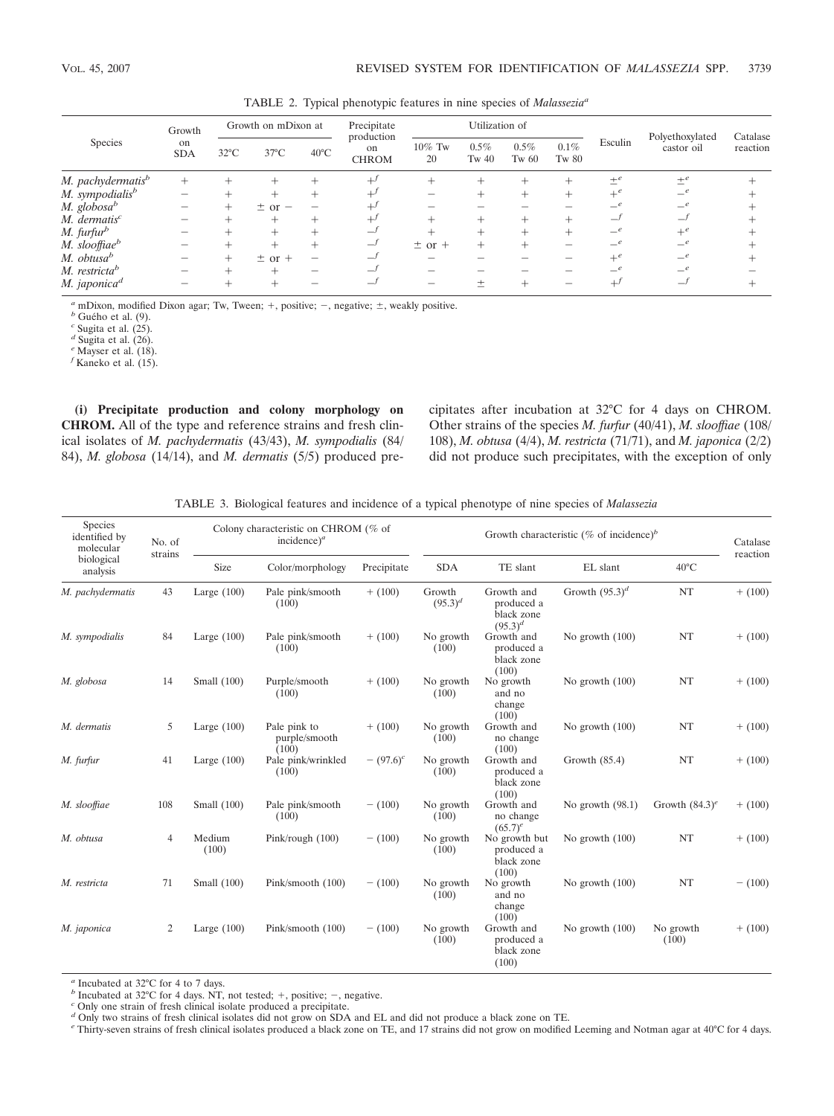| Species                       | Growth<br>on<br><b>SDA</b> | Growth on mDixon at |                | Precipitate    | Utilization of                   |                 |                  |                  |                  |         |                               |                      |
|-------------------------------|----------------------------|---------------------|----------------|----------------|----------------------------------|-----------------|------------------|------------------|------------------|---------|-------------------------------|----------------------|
|                               |                            | $32^{\circ}$ C      | $37^{\circ}$ C | $40^{\circ}$ C | production<br>on<br><b>CHROM</b> | $10\%$ Tw<br>20 | $0.5\%$<br>Tw 40 | $0.5\%$<br>Tw 60 | $0.1\%$<br>Tw 80 | Esculin | Polyethoxylated<br>castor oil | Catalase<br>reaction |
| M. pachydermatis <sup>b</sup> | $^{+}$                     |                     |                |                | $^{+j}$                          |                 | +                |                  | ∸                | $\pm^e$ | $+e$                          |                      |
| M. sympodialis <sup>b</sup>   |                            |                     | $^+$           | +              | ⊥                                |                 |                  |                  | $^+$             | $+e$    | $-e$                          |                      |
| M. globosa $\Phi$             |                            |                     | $\pm$ or $-$   |                |                                  |                 |                  |                  |                  | $-e$    | $-e$                          |                      |
| $M.$ dermatis <sup>c</sup>    |                            |                     | $^+$           |                | $^{+}$                           |                 |                  |                  | ┶                | $-f$    | $-1$                          |                      |
| M. furfur <sup>b</sup>        |                            |                     | $^+$           |                | ر_                               |                 |                  |                  | $\pm$            | $-e$    | $+e$                          |                      |
| M. slooffiae <sup>b</sup>     |                            |                     | $\pm$          | $\!$           | —                                | $\pm$ or $+$    | $^{+}$           |                  |                  |         | $-e$                          |                      |
| M. obtusa <sup>b</sup>        |                            |                     | $\pm$ or $+$   |                |                                  |                 |                  |                  |                  | $+e$    | $-e$                          |                      |
| M. restricta <sup>b</sup>     |                            |                     | +              |                |                                  |                 |                  |                  |                  |         | $-e$                          |                      |
| M. japonica <sup>d</sup>      |                            |                     |                |                |                                  |                 |                  |                  |                  |         | -                             |                      |

TABLE 2. Typical phenotypic features in nine species of *Malasseziaa*

*a* mDixon, modified Dixon agar; Tw, Tween;  $+$ , positive;  $-$ , negative;  $\pm$ , weakly positive. *b* Guého et al. (9). *c* Sugita et al. (25).

 $d$  Sugita et al.  $(26)$ .

*<sup>e</sup>* Mayser et al. (18).

*<sup>f</sup>* Kaneko et al. (15).

**(i) Precipitate production and colony morphology on CHROM.** All of the type and reference strains and fresh clinical isolates of *M. pachydermatis* (43/43), *M. sympodialis* (84/ 84), *M. globosa* (14/14), and *M. dermatis* (5/5) produced precipitates after incubation at 32°C for 4 days on CHROM. Other strains of the species *M. furfur* (40/41), *M. slooffiae* (108/ 108), *M. obtusa* (4/4), *M. restricta* (71/71), and *M. japonica* (2/2) did not produce such precipitates, with the exception of only

TABLE 3. Biological features and incidence of a typical phenotype of nine species of *Malassezia*

| Species<br>identified by<br>molecular<br>strains<br>biological<br>analysis | No. of         | Colony characteristic on CHROM (% of<br>incidence) <sup><math>a</math></sup> |                                        |                         |                        | Growth characteristic (% of incidence) <sup>b</sup>    |                    |                    |           |  |
|----------------------------------------------------------------------------|----------------|------------------------------------------------------------------------------|----------------------------------------|-------------------------|------------------------|--------------------------------------------------------|--------------------|--------------------|-----------|--|
|                                                                            |                | Size                                                                         | Color/morphology                       | Precipitate             | <b>SDA</b>             | TE slant                                               | EL slant           | $40^{\circ}$ C     | reaction  |  |
| M. pachydermatis                                                           | 43             | Large $(100)$                                                                | Pale pink/smooth<br>(100)              | $+ (100)$               | Growth<br>$(95.3)^{d}$ | Growth and<br>produced a<br>black zone<br>$(95.3)^{d}$ | Growth $(95.3)^d$  | NT                 | $+ (100)$ |  |
| M. sympodialis                                                             | 84             | Large $(100)$                                                                | Pale pink/smooth<br>(100)              | $+ (100)$               | No growth<br>(100)     | Growth and<br>produced a<br>black zone<br>(100)        | No growth $(100)$  | NT                 | $+ (100)$ |  |
| M. globosa                                                                 | 14             | Small (100)                                                                  | Purple/smooth<br>(100)                 | $+ (100)$               | No growth<br>(100)     | No growth<br>and no<br>change<br>(100)                 | No growth $(100)$  | NT                 | $+ (100)$ |  |
| M. dermatis                                                                | 5              | Large $(100)$                                                                | Pale pink to<br>purple/smooth<br>(100) | $+ (100)$               | No growth<br>(100)     | Growth and<br>no change<br>(100)                       | No growth $(100)$  | NT                 | $+ (100)$ |  |
| M. furfur                                                                  | 41             | Large $(100)$                                                                | Pale pink/wrinkled<br>(100)            | $-$ (97.6) <sup>c</sup> | No growth<br>(100)     | Growth and<br>produced a<br>black zone<br>(100)        | Growth $(85.4)$    | NT                 | $+ (100)$ |  |
| M. slooffiae                                                               | 108            | Small (100)                                                                  | Pale pink/smooth<br>(100)              | $- (100)$               | No growth<br>(100)     | Growth and<br>no change<br>$(65.7)^e$                  | No growth $(98.1)$ | Growth $(84.3)^e$  | $+ (100)$ |  |
| M. obtusa                                                                  | $\overline{4}$ | Medium<br>(100)                                                              | Pink/rough $(100)$                     | $- (100)$               | No growth<br>(100)     | No growth but<br>produced a<br>black zone<br>(100)     | No growth (100)    | NT                 | $+ (100)$ |  |
| M. restricta                                                               | 71             | Small $(100)$                                                                | Pink/smooth (100)                      | $- (100)$               | No growth<br>(100)     | No growth<br>and no<br>change<br>(100)                 | No growth $(100)$  | NT                 | $- (100)$ |  |
| M. japonica                                                                | 2              | Large $(100)$                                                                | Pink/smooth (100)                      | $- (100)$               | No growth<br>(100)     | Growth and<br>produced a<br>black zone<br>(100)        | No growth $(100)$  | No growth<br>(100) | $+ (100)$ |  |

*<sup>a</sup>* Incubated at 32°C for 4 to 7 days.

*b* Incubated at 32°C for 4 days. NT, not tested; +, positive; -, negative. *c* Only one strain of fresh clinical isolate produced a precipitate.

*d* Only two strains of fresh clinical isolates did not grow on SDA and EL and did not produce a black zone on TE.

*<sup>e</sup>* Thirty-seven strains of fresh clinical isolates produced a black zone on TE, and 17 strains did not grow on modified Leeming and Notman agar at 40°C for 4 days.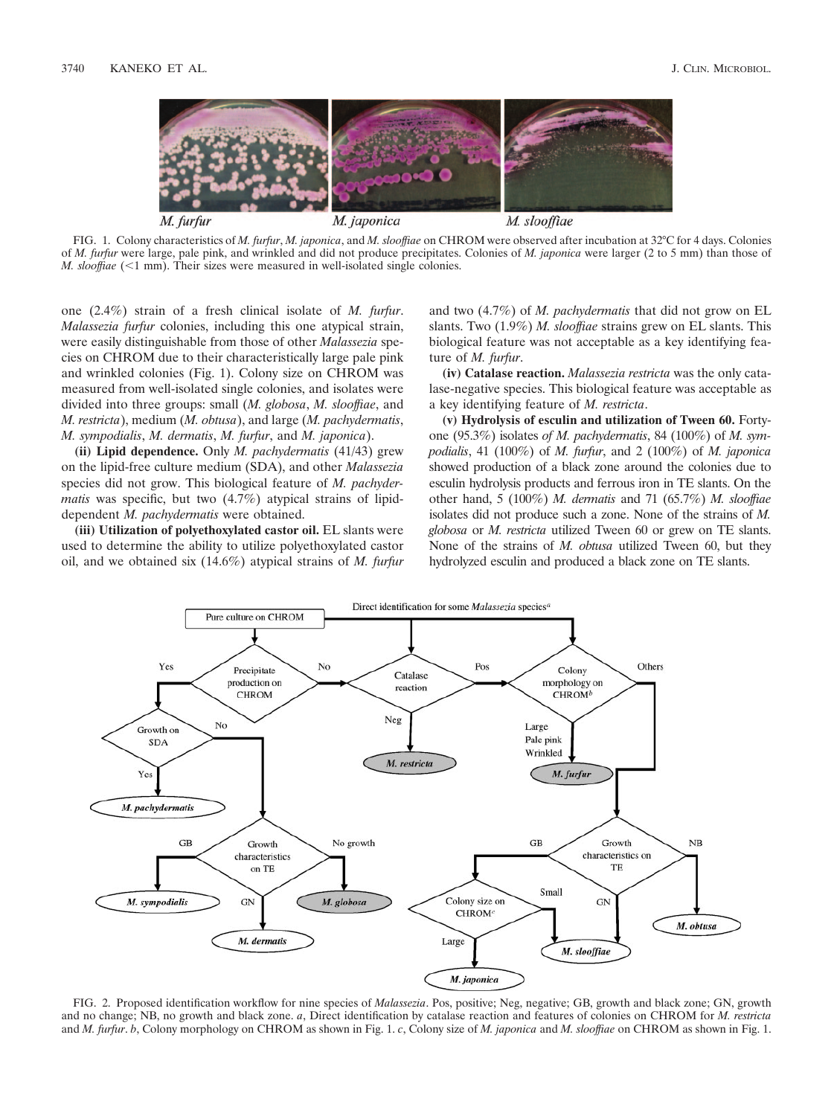

FIG. 1. Colony characteristics of *M. furfur*, *M. japonica*, and *M. slooffiae* on CHROM were observed after incubation at 32°C for 4 days. Colonies of *M. furfur* were large, pale pink, and wrinkled and did not produce precipitates. Colonies of *M. japonica* were larger (2 to 5 mm) than those of *M. slooffiae* (<1 mm). Their sizes were measured in well-isolated single colonies.

one (2.4%) strain of a fresh clinical isolate of *M. furfur*. *Malassezia furfur* colonies, including this one atypical strain, were easily distinguishable from those of other *Malassezia* species on CHROM due to their characteristically large pale pink and wrinkled colonies (Fig. 1). Colony size on CHROM was measured from well-isolated single colonies, and isolates were divided into three groups: small (*M. globosa*, *M. slooffiae*, and *M. restricta*), medium (*M. obtusa*), and large (*M. pachydermatis*, *M. sympodialis*, *M. dermatis*, *M. furfur*, and *M. japonica*).

**(ii) Lipid dependence.** Only *M. pachydermatis* (41/43) grew on the lipid-free culture medium (SDA), and other *Malassezia* species did not grow. This biological feature of *M. pachydermatis* was specific, but two (4.7%) atypical strains of lipiddependent *M. pachydermatis* were obtained.

**(iii) Utilization of polyethoxylated castor oil.** EL slants were used to determine the ability to utilize polyethoxylated castor oil, and we obtained six (14.6%) atypical strains of *M. furfur* and two (4.7%) of *M. pachydermatis* that did not grow on EL slants. Two (1.9%) *M. slooffiae* strains grew on EL slants. This biological feature was not acceptable as a key identifying feature of *M. furfur*.

**(iv) Catalase reaction.** *Malassezia restricta* was the only catalase-negative species. This biological feature was acceptable as a key identifying feature of *M. restricta*.

**(v) Hydrolysis of esculin and utilization of Tween 60.** Fortyone (95.3%) isolates *of M. pachydermatis*, 84 (100%) of *M. sympodialis*, 41 (100%) of *M. furfur*, and 2 (100%) of *M. japonica* showed production of a black zone around the colonies due to esculin hydrolysis products and ferrous iron in TE slants. On the other hand, 5 (100%) *M. dermatis* and 71 (65.7%) *M. slooffiae* isolates did not produce such a zone. None of the strains of *M. globosa* or *M. restricta* utilized Tween 60 or grew on TE slants. None of the strains of *M. obtusa* utilized Tween 60, but they hydrolyzed esculin and produced a black zone on TE slants.



FIG. 2. Proposed identification workflow for nine species of *Malassezia*. Pos, positive; Neg, negative; GB, growth and black zone; GN, growth and no change; NB, no growth and black zone. *a*, Direct identification by catalase reaction and features of colonies on CHROM for *M. restricta* and *M. furfur*. *b*, Colony morphology on CHROM as shown in Fig. 1. *c*, Colony size of *M. japonica* and *M. slooffiae* on CHROM as shown in Fig. 1.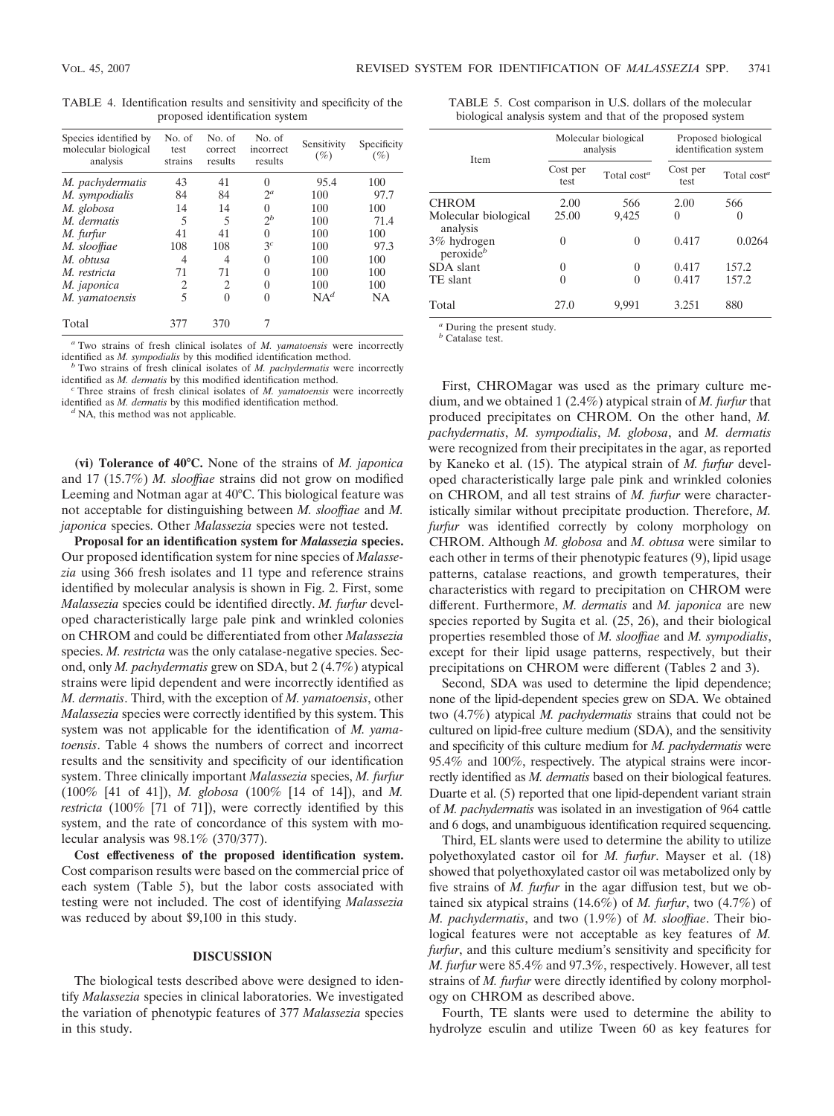TABLE 4. Identification results and sensitivity and specificity of the proposed identification system

| Species identified by<br>molecular biological<br>analysis | No. of<br>test<br>strains | No. of<br>correct<br>results | No. of<br>incorrect<br>results | Sensitivity<br>$(\%)$ | Specificity<br>$(\%)$ |
|-----------------------------------------------------------|---------------------------|------------------------------|--------------------------------|-----------------------|-----------------------|
| M. pachydermatis                                          | 43                        | 41                           | $\theta$                       | 95.4                  | 100                   |
| M. sympodialis                                            | 84                        | 84                           | $2^a$                          | 100                   | 97.7                  |
| M. globosa                                                | 14                        | 14                           | 0                              | 100                   | 100                   |
| M. dermatis                                               | 5                         | 5                            | $2^b$                          | 100                   | 71.4                  |
| M. furfur                                                 | 41                        | 41                           | 0                              | 100                   | 100                   |
| M. slooffiae                                              | 108                       | 108                          | 3 <sup>c</sup>                 | 100                   | 97.3                  |
| M. obtusa                                                 | 4                         | 4                            | $\theta$                       | 100                   | 100                   |
| M. restricta                                              | 71                        | 71                           | 0                              | 100                   | 100                   |
| M. japonica                                               | 2                         | 2                            | 0                              | 100                   | 100                   |
| M. vamatoensis                                            | 5                         | 0                            | 0                              | $NA^d$                | <b>NA</b>             |
| Total                                                     | 377                       | 370                          |                                |                       |                       |

<sup>a</sup> Two strains of fresh clinical isolates of *M. yamatoensis* were incorrectly identified as *M. sympodialis* by this modified identification method.

<sup>*b*</sup> Two strains of fresh clinical isolates of *M. pachydermatis* were incorrectly identified as *M. dermatis* by this modified identification method.

Three strains of fresh clinical isolates of *M. yamatoensis* were incorrectly identified as *M. dermatis* by this modified identification method. *<sup>d</sup>* NA, this method was not applicable.

**(vi) Tolerance of 40°C.** None of the strains of *M. japonica* and 17 (15.7%) *M. slooffiae* strains did not grow on modified Leeming and Notman agar at 40°C. This biological feature was not acceptable for distinguishing between *M. slooffiae* and *M. japonica* species. Other *Malassezia* species were not tested.

**Proposal for an identification system for** *Malassezia* **species.** Our proposed identification system for nine species of *Malassezia* using 366 fresh isolates and 11 type and reference strains identified by molecular analysis is shown in Fig. 2. First, some *Malassezia* species could be identified directly. *M. furfur* developed characteristically large pale pink and wrinkled colonies on CHROM and could be differentiated from other *Malassezia* species. *M. restricta* was the only catalase-negative species. Second, only *M. pachydermatis* grew on SDA, but 2 (4.7%) atypical strains were lipid dependent and were incorrectly identified as *M. dermatis*. Third, with the exception of *M. yamatoensis*, other *Malassezia* species were correctly identified by this system. This system was not applicable for the identification of *M. yamatoensis*. Table 4 shows the numbers of correct and incorrect results and the sensitivity and specificity of our identification system. Three clinically important *Malassezia* species, *M. furfur* (100% [41 of 41]), *M. globosa* (100% [14 of 14]), and *M. restricta* (100% [71 of 71]), were correctly identified by this system, and the rate of concordance of this system with molecular analysis was 98.1% (370/377).

**Cost effectiveness of the proposed identification system.** Cost comparison results were based on the commercial price of each system (Table 5), but the labor costs associated with testing were not included. The cost of identifying *Malassezia* was reduced by about \$9,100 in this study.

#### **DISCUSSION**

The biological tests described above were designed to identify *Malassezia* species in clinical laboratories. We investigated the variation of phenotypic features of 377 *Malassezia* species in this study.

| TABLE 5. Cost comparison in U.S. dollars of the molecular  |  |  |
|------------------------------------------------------------|--|--|
| biological analysis system and that of the proposed system |  |  |

| <b>Item</b>                          |                  | Molecular biological<br>analysis | Proposed biological<br>identification system |                |  |
|--------------------------------------|------------------|----------------------------------|----------------------------------------------|----------------|--|
|                                      | Cost per<br>test | Total $cost^a$                   | Cost per<br>test                             | Total $cost^a$ |  |
| <b>CHROM</b>                         | 2.00             | 566                              | 2.00                                         | 566            |  |
| Molecular biological<br>analysis     | 25.00            | 9,425                            | 0                                            | $\theta$       |  |
| 3% hydrogen<br>peroxide <sup>b</sup> | 0                | 0                                | 0.417                                        | 0.0264         |  |
| SDA slant                            | 0                | 0                                | 0.417                                        | 157.2          |  |
| TE slant                             | 0                | 0                                | 0.417                                        | 157.2          |  |
| Total                                | 27.0             | 9.991                            | 3.251                                        | 880            |  |

*<sup>a</sup>* During the present study. *<sup>b</sup>* Catalase test.

First, CHROMagar was used as the primary culture medium, and we obtained 1 (2.4%) atypical strain of *M. furfur* that produced precipitates on CHROM. On the other hand, *M. pachydermatis*, *M. sympodialis*, *M. globosa*, and *M. dermatis* were recognized from their precipitates in the agar, as reported by Kaneko et al. (15). The atypical strain of *M. furfur* developed characteristically large pale pink and wrinkled colonies on CHROM, and all test strains of *M. furfur* were characteristically similar without precipitate production. Therefore, *M. furfur* was identified correctly by colony morphology on CHROM. Although *M. globosa* and *M. obtusa* were similar to each other in terms of their phenotypic features (9), lipid usage patterns, catalase reactions, and growth temperatures, their characteristics with regard to precipitation on CHROM were different. Furthermore, *M. dermatis* and *M. japonica* are new species reported by Sugita et al. (25, 26), and their biological properties resembled those of *M. slooffiae* and *M. sympodialis*, except for their lipid usage patterns, respectively, but their precipitations on CHROM were different (Tables 2 and 3).

Second, SDA was used to determine the lipid dependence; none of the lipid-dependent species grew on SDA. We obtained two (4.7%) atypical *M. pachydermatis* strains that could not be cultured on lipid-free culture medium (SDA), and the sensitivity and specificity of this culture medium for *M. pachydermatis* were 95.4% and 100%, respectively. The atypical strains were incorrectly identified as *M. dermatis* based on their biological features. Duarte et al. (5) reported that one lipid-dependent variant strain of *M. pachydermatis* was isolated in an investigation of 964 cattle and 6 dogs, and unambiguous identification required sequencing.

Third, EL slants were used to determine the ability to utilize polyethoxylated castor oil for *M. furfur*. Mayser et al. (18) showed that polyethoxylated castor oil was metabolized only by five strains of *M. furfur* in the agar diffusion test, but we obtained six atypical strains (14.6%) of *M. furfur*, two (4.7%) of *M. pachydermatis*, and two (1.9%) of *M. slooffiae*. Their biological features were not acceptable as key features of *M. furfur*, and this culture medium's sensitivity and specificity for *M. furfur* were 85.4% and 97.3%, respectively. However, all test strains of *M. furfur* were directly identified by colony morphology on CHROM as described above.

Fourth, TE slants were used to determine the ability to hydrolyze esculin and utilize Tween 60 as key features for